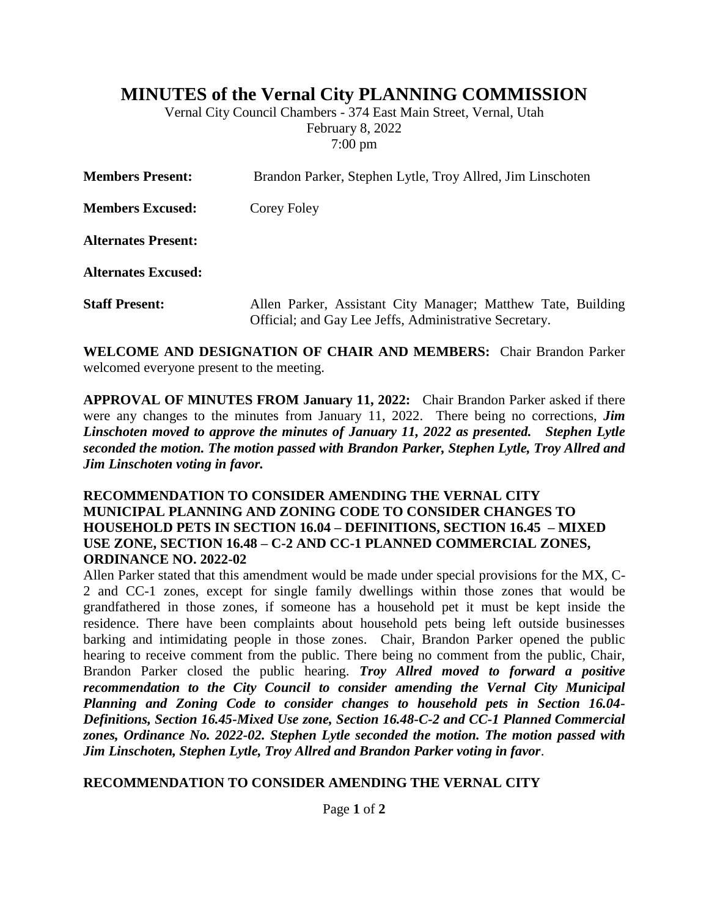# **MINUTES of the Vernal City PLANNING COMMISSION**

Vernal City Council Chambers - 374 East Main Street, Vernal, Utah February 8, 2022 7:00 pm

| <b>Members Present:</b>    | Brandon Parker, Stephen Lytle, Troy Allred, Jim Linschoten                                                             |
|----------------------------|------------------------------------------------------------------------------------------------------------------------|
| <b>Members Excused:</b>    | Corey Foley                                                                                                            |
| <b>Alternates Present:</b> |                                                                                                                        |
| <b>Alternates Excused:</b> |                                                                                                                        |
| <b>Staff Present:</b>      | Allen Parker, Assistant City Manager; Matthew Tate, Building<br>Official; and Gay Lee Jeffs, Administrative Secretary. |

**WELCOME AND DESIGNATION OF CHAIR AND MEMBERS:** Chair Brandon Parker welcomed everyone present to the meeting.

**APPROVAL OF MINUTES FROM January 11, 2022:** Chair Brandon Parker asked if there were any changes to the minutes from January 11, 2022. There being no corrections, *Jim Linschoten moved to approve the minutes of January 11, 2022 as presented. Stephen Lytle seconded the motion. The motion passed with Brandon Parker, Stephen Lytle, Troy Allred and Jim Linschoten voting in favor.*

#### **RECOMMENDATION TO CONSIDER AMENDING THE VERNAL CITY MUNICIPAL PLANNING AND ZONING CODE TO CONSIDER CHANGES TO HOUSEHOLD PETS IN SECTION 16.04 – DEFINITIONS, SECTION 16.45 – MIXED USE ZONE, SECTION 16.48 – C-2 AND CC-1 PLANNED COMMERCIAL ZONES, ORDINANCE NO. 2022-02**

Allen Parker stated that this amendment would be made under special provisions for the MX, C-2 and CC-1 zones, except for single family dwellings within those zones that would be grandfathered in those zones, if someone has a household pet it must be kept inside the residence. There have been complaints about household pets being left outside businesses barking and intimidating people in those zones. Chair, Brandon Parker opened the public hearing to receive comment from the public. There being no comment from the public, Chair, Brandon Parker closed the public hearing. *Troy Allred moved to forward a positive recommendation to the City Council to consider amending the Vernal City Municipal Planning and Zoning Code to consider changes to household pets in Section 16.04- Definitions, Section 16.45-Mixed Use zone, Section 16.48-C-2 and CC-1 Planned Commercial zones, Ordinance No. 2022-02. Stephen Lytle seconded the motion. The motion passed with Jim Linschoten, Stephen Lytle, Troy Allred and Brandon Parker voting in favor*.

#### **RECOMMENDATION TO CONSIDER AMENDING THE VERNAL CITY**